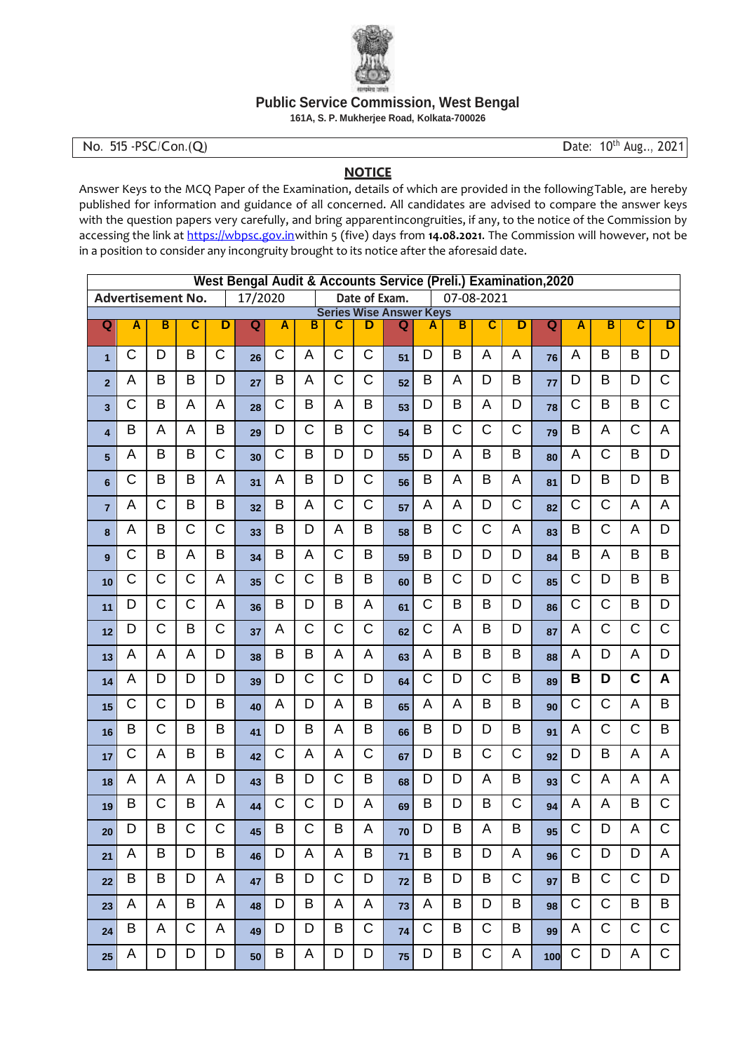

**Public Service Commission, West Bengal**

**161A, S. P. Mukherjee Road, Kolkata-700026**

## **NOTICE**

Answer Keys to the MCQ Paper of the Examination, details of which are provided in the followingTable, are hereby published for information and guidance of all concerned. All candidates are advised to compare the answer keys with the question papers very carefully, and bring apparentincongruities, if any, to the notice of the Commission by accessing the link at [https://wbpsc.gov.inw](https://wbpsc.gov.in/)ithin 5 (five) days from **14.08.2021**. The Commission will however, not be in a position to consider any incongruity brought to its notice after the aforesaid date.

|                  |             |                          |              |                       |         |             |              |                                                               | West Bengal Audit & Accounts Service (Preli.) Examination, 2020 |    |              |              |             |             |     |              |              |                |                       |
|------------------|-------------|--------------------------|--------------|-----------------------|---------|-------------|--------------|---------------------------------------------------------------|-----------------------------------------------------------------|----|--------------|--------------|-------------|-------------|-----|--------------|--------------|----------------|-----------------------|
|                  |             | <b>Advertisement No.</b> |              |                       | 17/2020 |             |              | Date of Exam.<br>07-08-2021<br><b>Series Wise Answer Keys</b> |                                                                 |    |              |              |             |             |     |              |              |                |                       |
| Q<br>Ā<br>В<br>C |             |                          | D            | Q                     | A       | B           | C            | D                                                             | Q                                                               | Α  | B            | C            | D           | Q           | Ā   | B            | C            | D              |                       |
|                  |             |                          |              |                       |         |             |              |                                                               |                                                                 |    |              |              |             |             |     |              |              |                |                       |
| $\mathbf{1}$     | C           | D                        | B            | C                     | 26      | C           | Α            | C                                                             | C                                                               | 51 | D            | B            | A           | А           | 76  | A            | B            | B              | D                     |
| $\overline{2}$   | A           | B                        | B            | D                     | 27      | B           | A            | $\mathsf C$                                                   | $\mathsf C$                                                     | 52 | B            | A            | D           | B           | 77  | D            | B            | D              | $\mathsf{C}$          |
| 3                | $\mathsf C$ | B                        | A            | A                     | 28      | $\mathsf C$ | B            | A                                                             | B                                                               | 53 | D            | B            | A           | D           | 78  | $\mathsf C$  | B            | B              | $\overline{C}$        |
| 4                | B           | A                        | A            | B                     | 29      | D           | $\mathsf C$  | B                                                             | $\mathsf C$                                                     | 54 | B            | $\mathsf C$  | $\mathsf C$ | $\mathsf C$ | 79  | B            | A            | $\mathsf{C}$   | A                     |
| 5                | A           | B                        | B            | $\mathsf{C}$          | 30      | C           | B            | D                                                             | D                                                               | 55 | D            | A            | B           | B           | 80  | A            | $\mathsf{C}$ | B              | D                     |
| 6                | $\mathsf C$ | B                        | B            | A                     | 31      | A           | B            | D                                                             | $\mathsf{C}$                                                    | 56 | B            | A            | B           | A           | 81  | D            | B            | D              | B                     |
| $\overline{7}$   | A           | $\mathsf C$              | B            | B                     | 32      | B           | A            | C                                                             | $\mathsf C$                                                     | 57 | A            | A            | D           | C           | 82  | C            | $\mathsf C$  | A              | A                     |
| 8                | A           | B                        | $\mathsf C$  | $\mathsf C$           | 33      | B           | D            | A                                                             | B                                                               | 58 | B            | $\mathsf{C}$ | C           | A           | 83  | B            | $\mathsf C$  | A              | D                     |
| 9                | $\mathsf C$ | B                        | A            | B                     | 34      | B           | A            | $\mathsf C$                                                   | B                                                               | 59 | B            | D            | D           | D           | 84  | B            | A            | B              | B                     |
| 10               | C           | $\mathbf C$              | $\mathsf{C}$ | A                     | 35      | C           | C            | B                                                             | B                                                               | 60 | B            | $\mathsf C$  | D           | C           | 85  | $\mathsf C$  | D            | B              | $\sf B$               |
| 11               | D           | $\mathsf{C}$             | $\mathsf{C}$ | A                     | 36      | B           | D            | B                                                             | A                                                               | 61 | $\mathsf C$  | B            | B           | D           | 86  | $\mathsf C$  | $\mathsf{C}$ | B              | D                     |
| 12               | D           | $\mathsf{C}$             | B            | $\overline{\text{C}}$ | 37      | A           | $\mathsf C$  | $\mathsf C$                                                   | $\mathsf{C}$                                                    | 62 | $\mathsf{C}$ | A            | B           | D           | 87  | A            | $\mathsf{C}$ | $\mathsf{C}$   | $\overline{\text{C}}$ |
| 13               | A           | A                        | A            | D                     | 38      | B           | B            | A                                                             | A                                                               | 63 | A            | B            | B           | B           | 88  | A            | D            | A              | D                     |
| 14               | A           | D                        | D            | D                     | 39      | D           | C            | C                                                             | D                                                               | 64 | $\mathsf{C}$ | D            | $\mathsf C$ | B           | 89  | B            | D            | $\mathbf C$    | A                     |
| 15               | C           | $\mathsf{C}$             | D            | B                     | 40      | А           | D            | A                                                             | B                                                               | 65 | A            | A            | B           | B           | 90  | C            | $\mathsf{C}$ | A              | B                     |
| 16               | B           | $\mathsf{C}$             | B            | B                     | 41      | D           | B            | A                                                             | B                                                               | 66 | B            | D            | D           | B           | 91  | A            | $\mathsf C$  | $\mathsf{C}$   | $\sf B$               |
| 17               | C           | A                        | B            | B                     | 42      | C           | A            | A                                                             | $\mathsf C$                                                     | 67 | D            | B            | C           | C           | 92  | D            | B            | $\overline{A}$ | A                     |
| 18               | A           | A                        | A            | D                     | 43      | B           | D            | $\mathsf C$                                                   | B                                                               | 68 | D            | D            | Α           | B           | 93  | $\mathsf C$  | A            | A              | A                     |
| 19               | B           | $\mathsf{C}$             | B            | A                     | 44      | C           | $\mathsf C$  | D                                                             | A                                                               | 69 | B            | D            | B           | C           | 94  | A            | A            | B              | $\overline{C}$        |
| 20               | D           | B                        | $\mathsf{C}$ | $\mathsf{C}$          | 45      | B           | $\mathsf{C}$ | B                                                             | A                                                               | 70 | D            | B            | A           | B           | 95  | $\mathsf{C}$ | D            | A              | $\mathsf{C}$          |
| 21               | A           | B                        | D            | B                     | 46      | D           | A            | A                                                             | B                                                               | 71 | B            | В            | D           | Α           | 96  | C            | D            | D              | A                     |
| 22               | B           | B                        | D            | A                     | 47      | В           | D            | C                                                             | D                                                               | 72 | B            | D            | B           | С           | 97  | B            | C            | C              | D                     |
| 23               | A           | A                        | B            | A                     | 48      | D           | B            | A                                                             | A                                                               | 73 | A            | B            | D           | В           | 98  | C            | C            | B              | B                     |
| 24               | B           | A                        | C            | A                     | 49      | D           | D            | B                                                             | $\mathsf C$                                                     | 74 | C            | B            | $\mathsf C$ | B           | 99  | A            | C            | $\mathsf C$    | $\mathsf C$           |
| 25               | A           | D                        | D            | D                     | 50      | B           | A            | D                                                             | D                                                               | 75 | D            | B            | C           | A           | 100 | C            | D            | A              | C                     |